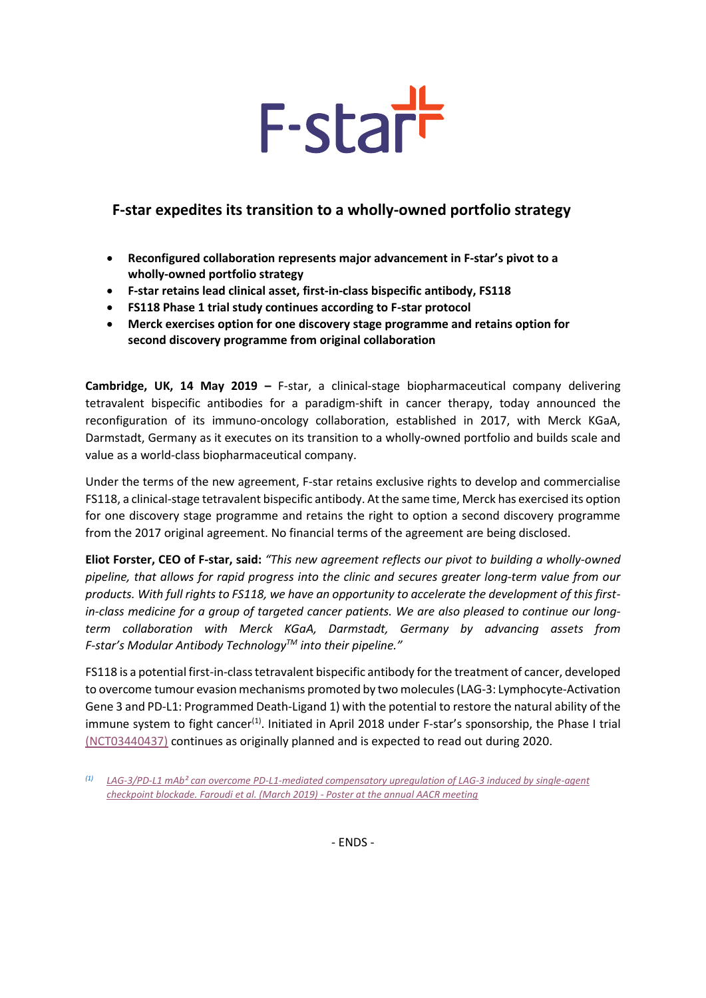# F-starr

# **F-star expedites its transition to a wholly-owned portfolio strategy**

- **Reconfigured collaboration represents major advancement in F-star's pivot to a wholly-owned portfolio strategy**
- **F-star retains lead clinical asset, first-in-class bispecific antibody, FS118**
- **FS118 Phase 1 trial study continues according to F-star protocol**
- **Merck exercises option for one discovery stage programme and retains option for second discovery programme from original collaboration**

**Cambridge, UK, 14 May 2019 –** F-star, a clinical-stage biopharmaceutical company delivering tetravalent bispecific antibodies for a paradigm-shift in cancer therapy, today announced the reconfiguration of its immuno-oncology collaboration, established in 2017, with Merck KGaA, Darmstadt, Germany as it executes on its transition to a wholly-owned portfolio and builds scale and value as a world-class biopharmaceutical company.

Under the terms of the new agreement, F-star retains exclusive rights to develop and commercialise FS118, a clinical-stage tetravalent bispecific antibody. At the same time, Merck has exercised its option for one discovery stage programme and retains the right to option a second discovery programme from the 2017 [original](http://www.f-star.com/media/78443/20170604-F-star-Expands-its-Relationship-with-Merck.pdf) agreement. No financial terms of the agreement are being disclosed.

**Eliot Forster, CEO of F-star, said:** *"This new agreement reflects our pivot to building a wholly-owned pipeline, that allows for rapid progress into the clinic and secures greater long-term value from our products. With full rights to FS118, we have an opportunity to accelerate the development of this firstin-class medicine for a group of targeted cancer patients. We are also pleased to continue our longterm collaboration with Merck KGaA, Darmstadt, Germany by advancing assets from F-star's Modular Antibody TechnologyTM into their pipeline."*

FS118 is a potential first-in-class tetravalent bispecific antibody for the treatment of cancer, developed to overcome tumour evasion mechanisms promoted by two molecules (LAG-3: Lymphocyte-Activation Gene 3 and PD-L1: Programmed Death-Ligand 1) with the potential to restore the natural ability of the immune system to fight cancer<sup>(1)</sup>. Initiated in April 2018 under F-star's sponsorship, the Phase I trial [\(NCT03440437\)](https://clinicaltrials.gov/ct2/show/NCT03440437?term=FS118&rank=1) continues as originally planned and is expected to read out during 2020.

- ENDS -

*<sup>(1)</sup> [LAG-3/PD-L1 mAb² can overcome PD-L1-mediated compensatory upregulation of LAG-3 induced by single-agent](http://www.f-star.com/media/88514/201903-AACR-2019-F-star-FS118-poster-ONLINE.pdf)  [checkpoint blockade. Faroudi et al. \(March 2019\) -](http://www.f-star.com/media/88514/201903-AACR-2019-F-star-FS118-poster-ONLINE.pdf) Poster at the annual AACR meeting*